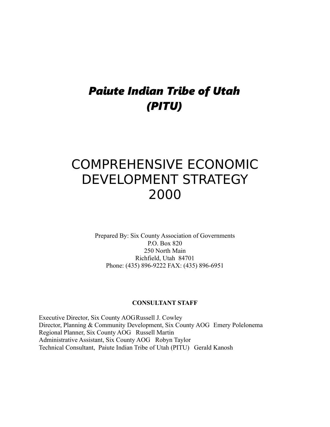## *Paiute Indian Tribe of Utah (PITU)*

# COMPREHENSIVE ECONOMIC DEVELOPMENT STRATEGY 2000

Prepared By: Six County Association of Governments P.O. Box 820 250 North Main Richfield, Utah 84701 Phone: (435) 896-9222 FAX: (435) 896-6951

#### **CONSULTANT STAFF**

Executive Director, Six County AOGRussell J. Cowley Director, Planning & Community Development, Six County AOG Emery Polelonema Regional Planner, Six County AOG Russell Martin Administrative Assistant, Six County AOG Robyn Taylor Technical Consultant, Paiute Indian Tribe of Utah (PITU) Gerald Kanosh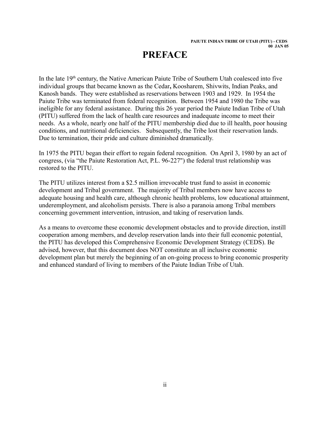## **PREFACE**

In the late  $19<sup>th</sup>$  century, the Native American Paiute Tribe of Southern Utah coalesced into five individual groups that became known as the Cedar**,** Koosharem, Shivwits, Indian Peaks, and Kanosh bands. They were established as reservations between 1903 and 1929. In 1954 the Paiute Tribe was terminated from federal recognition. Between 1954 and 1980 the Tribe was ineligible for any federal assistance. During this 26 year period the Paiute Indian Tribe of Utah (PITU) suffered from the lack of health care resources and inadequate income to meet their needs. As a whole, nearly one half of the PITU membership died due to ill health, poor housing conditions, and nutritional deficiencies. Subsequently, the Tribe lost their reservation lands. Due to termination, their pride and culture diminished dramatically.

In 1975 the PITU began their effort to regain federal recognition. On April 3, 1980 by an act of congress, (via "the Paiute Restoration Act, P.L. 96-227") the federal trust relationship was restored to the PITU.

The PITU utilizes interest from a \$2.5 million irrevocable trust fund to assist in economic development and Tribal government. The majority of Tribal members now have access to adequate housing and health care, although chronic health problems, low educational attainment, underemployment, and alcoholism persists. There is also a paranoia among Tribal members concerning government intervention, intrusion, and taking of reservation lands.

As a means to overcome these economic development obstacles and to provide direction, instill cooperation among members, and develop reservation lands into their full economic potential, the PITU has developed this Comprehensive Economic Development Strategy (CEDS). Be advised, however, that this document does NOT constitute an all inclusive economic development plan but merely the beginning of an on-going process to bring economic prosperity and enhanced standard of living to members of the Paiute Indian Tribe of Utah.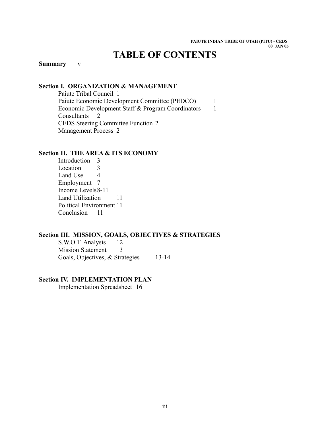## **TABLE OF CONTENTS**

#### **Summary** v

#### **Section I. ORGANIZATION & MANAGEMENT**

Paiute Tribal Council 1 Paiute Economic Development Committee (PEDCO) 1 Economic Development Staff & Program Coordinators 1 Consultants 2 CEDS Steering Committee Function 2 Management Process 2

#### **Section II. THE AREA & ITS ECONOMY**

Introduction 3 Location 3 Land Use 4 Employment 7 Income Levels8-11 Land Utilization 11 Political Environment 11 Conclusion 11

#### **Section III. MISSION, GOALS, OBJECTIVES & STRATEGIES**

S.W.O.T. Analysis 12 Mission Statement 13 Goals, Objectives, & Strategies 13-14

#### **Section IV. IMPLEMENTATION PLAN**

Implementation Spreadsheet 16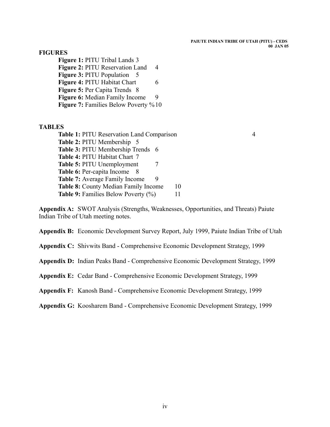#### **FIGURES**

**Figure 1:** PITU Tribal Lands 3 **Figure 2: PITU Reservation Land 4 Figure 3: PITU Population** 5 **Figure 4: PITU Habitat Chart** 6 **Figure 5:** Per Capita Trends 8 **Figure 6:** Median Family Income 9 **Figure 7:** Families Below Poverty %10

#### **TABLES**

**Table 1:** PITU Reservation Land Comparison 4 **Table 2:** PITU Membership 5 **Table 3:** PITU Membership Trends 6 **Table 4:** PITU Habitat Chart 7 **Table 5:** PITU Unemployment 7 **Table 6: Per-capita Income** 8 **Table 7:** Average Family Income 9 **Table 8:** County Median Family Income 10 **Table 9:** Families Below Poverty (%) 11

**Appendix A:** SWOT Analysis (Strengths, Weaknesses, Opportunities, and Threats) Paiute Indian Tribe of Utah meeting notes.

**Appendix B:** Economic Development Survey Report, July 1999, Paiute Indian Tribe of Utah

**Appendix C:** Shivwits Band - Comprehensive Economic Development Strategy, 1999

**Appendix D:** Indian Peaks Band - Comprehensive Economic Development Strategy, 1999

**Appendix E:** Cedar Band - Comprehensive Economic Development Strategy, 1999

**Appendix F:** Kanosh Band - Comprehensive Economic Development Strategy, 1999

**Appendix G:** Koosharem Band - Comprehensive Economic Development Strategy, 1999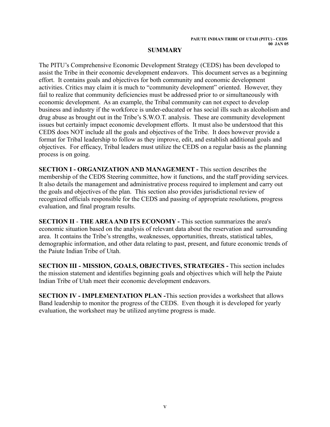#### **SUMMARY**

The PITU's Comprehensive Economic Development Strategy (CEDS) has been developed to assist the Tribe in their economic development endeavors. This document serves as a beginning effort. It contains goals and objectives for both community and economic development activities. Critics may claim it is much to "community development" oriented. However, they fail to realize that community deficiencies must be addressed prior to or simultaneously with economic development. As an example, the Tribal community can not expect to develop business and industry if the workforce is under-educated or has social ills such as alcoholism and drug abuse as brought out in the Tribe's S.W.O.T. analysis. These are community development issues but certainly impact economic development efforts. It must also be understood that this CEDS does NOT include all the goals and objectives of the Tribe. It does however provide a format for Tribal leadership to follow as they improve, edit, and establish additional goals and objectives. For efficacy, Tribal leaders must utilize the CEDS on a regular basis as the planning process is on going.

**SECTION I - ORGANIZATION AND MANAGEMENT -** This section describes the membership of the CEDS Steering committee, how it functions, and the staff providing services. It also details the management and administrative process required to implement and carry out the goals and objectives of the plan. This section also provides jurisdictional review of recognized officials responsible for the CEDS and passing of appropriate resolutions, progress evaluation, and final program results.

**SECTION II** - **THE AREA AND ITS ECONOMY -** This section summarizes the area's economic situation based on the analysis of relevant data about the reservation and surrounding area. It contains the Tribe's strengths, weaknesses, opportunities, threats, statistical tables, demographic information, and other data relating to past, present, and future economic trends of the Paiute Indian Tribe of Utah.

**SECTION III - MISSION, GOALS, OBJECTIVES, STRATEGIES -** This section includes the mission statement and identifies beginning goals and objectives which will help the Paiute Indian Tribe of Utah meet their economic development endeavors.

**SECTION IV - IMPLEMENTATION PLAN -**This section provides a worksheet that allows Band leadership to monitor the progress of the CEDS. Even though it is developed for yearly evaluation, the worksheet may be utilized anytime progress is made.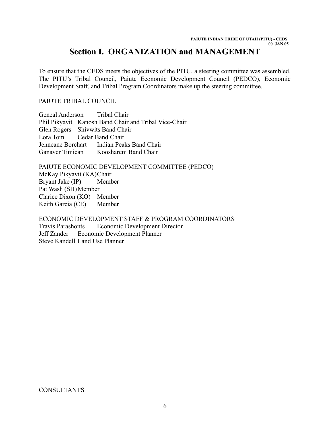### **Section I. ORGANIZATION and MANAGEMENT**

To ensure that the CEDS meets the objectives of the PITU, a steering committee was assembled. The PITU's Tribal Council, Paiute Economic Development Council (PEDCO), Economic Development Staff, and Tribal Program Coordinators make up the steering committee.

#### PAIUTE TRIBAL COUNCIL

Geneal Anderson Tribal Chair Phil Pikyavit Kanosh Band Chair and Tribal Vice-Chair Glen Rogers Shivwits Band Chair Lora Tom Cedar Band Chair Jenneane Borchart Indian Peaks Band Chair Ganaver Timican Koosharem Band Chair

PAIUTE ECONOMIC DEVELOPMENT COMMITTEE (PEDCO) McKay Pikyavit (KA)Chair Bryant Jake (IP) Member Pat Wash (SH)Member Clarice Dixon (KO) Member Keith Garcia (CE) Member

ECONOMIC DEVELOPMENT STAFF & PROGRAM COORDINATORS Travis Parashonts Economic Development Director Jeff Zander Economic Development Planner Steve Kandell Land Use Planner

CONSULTANTS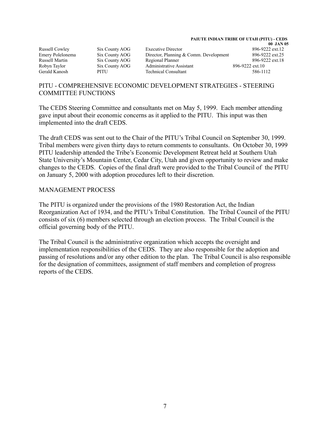Russell Cowley Six County AOG Executive Director

Emery Polelonema Six County AOG Director, Planning & Comm. Development 896-9222 ext.25 Russell Martin Six County AOG Regional Planner 896-9222 ext.18 Robyn Taylor Six County AOG Administrative Assistant 896-9222 ext.10 Gerald Kanosh PITU Technical Consultant 586-1112

# 00 JAN 05<br>896-9222 ext.12

#### PITU - COMPREHENSIVE ECONOMIC DEVELOPMENT STRATEGIES - STEERING COMMITTEE FUNCTIONS

The CEDS Steering Committee and consultants met on May 5, 1999. Each member attending gave input about their economic concerns as it applied to the PITU. This input was then implemented into the draft CEDS.

The draft CEDS was sent out to the Chair of the PITU's Tribal Council on September 30, 1999. Tribal members were given thirty days to return comments to consultants. On October 30, 1999 PITU leadership attended the Tribe's Economic Development Retreat held at Southern Utah State University's Mountain Center, Cedar City, Utah and given opportunity to review and make changes to the CEDS. Copies of the final draft were provided to the Tribal Council of the PITU on January 5, 2000 with adoption procedures left to their discretion.

#### MANAGEMENT PROCESS

The PITU is organized under the provisions of the 1980 Restoration Act, the Indian Reorganization Act of 1934, and the PITU's Tribal Constitution. The Tribal Council of the PITU consists of six (6) members selected through an election process. The Tribal Council is the official governing body of the PITU.

The Tribal Council is the administrative organization which accepts the oversight and implementation responsibilities of the CEDS. They are also responsible for the adoption and passing of resolutions and/or any other edition to the plan. The Tribal Council is also responsible for the designation of committees, assignment of staff members and completion of progress reports of the CEDS.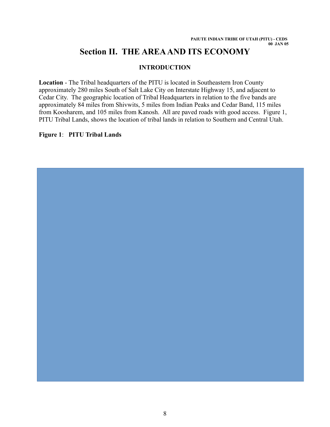## **Section II. THE AREA AND ITS ECONOMY**

#### **INTRODUCTION**

**Location** - The Tribal headquarters of the PITU is located in Southeastern Iron County approximately 280 miles South of Salt Lake City on Interstate Highway 15, and adjacent to Cedar City. The geographic location of Tribal Headquarters in relation to the five bands are approximately 84 miles from Shivwits, 5 miles from Indian Peaks and Cedar Band, 115 miles from Koosharem, and 105 miles from Kanosh. All are paved roads with good access. Figure 1, PITU Tribal Lands, shows the location of tribal lands in relation to Southern and Central Utah.

#### **Figure 1**: **PITU Tribal Lands**

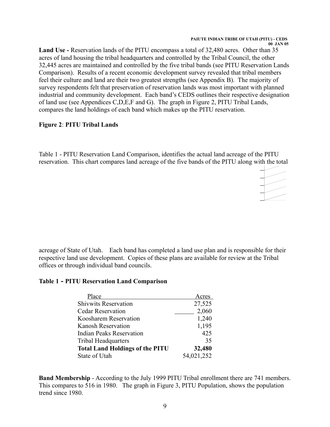**00 JAN 05**

**Land Use -** Reservation lands of the PITU encompass a total of 32,480 acres. Other than 35 acres of land housing the tribal headquarters and controlled by the Tribal Council, the other 32,445 acres are maintained and controlled by the five tribal bands (see PITU Reservation Lands Comparison). Results of a recent economic development survey revealed that tribal members feel their culture and land are their two greatest strengths (see Appendix B). The majority of survey respondents felt that preservation of reservation lands was most important with planned industrial and community development. Each band's CEDS outlines their respective designation of land use (see Appendices C,D,E,F and G). The graph in Figure 2, PITU Tribal Lands, compares the land holdings of each band which makes up the PITU reservation.

#### **Figure 2**: **PITU Tribal Lands**

Table 1 - PITU Reservation Land Comparison, identifies the actual land acreage of the PITU reservation. This chart compares land acreage of the five bands of the PITU along with the total



acreage of State of Utah. Each band has completed a land use plan and is responsible for their respective land use development. Copies of these plans are available for review at the Tribal offices or through individual band councils.

#### **Table 1 - PITU Reservation Land Comparison**

| Place                                  | Acres      |
|----------------------------------------|------------|
| <b>Shivwits Reservation</b>            | 27,525     |
| <b>Cedar Reservation</b>               | 2,060      |
| Koosharem Reservation                  | 1,240      |
| Kanosh Reservation                     | 1,195      |
| <b>Indian Peaks Reservation</b>        | 425        |
| <b>Tribal Headquarters</b>             | 35         |
| <b>Total Land Holdings of the PITU</b> | 32,480     |
| State of Utah                          | 54,021,252 |

**Band Membership** - According to the July 1999 PITU Tribal enrollment there are 741 members. This compares to 516 in 1980. The graph in Figure 3, PITU Population, shows the population trend since 1980.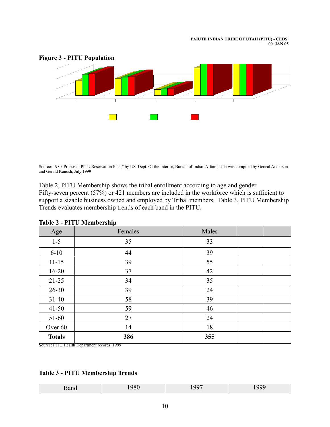

#### **Figure 3 - PITU Population**

Source: 1980"Proposed PITU Reservation Plan," by US. Dept. Of the Interior, Bureau of Indian Affairs; data was compiled by Geneal Anderson and Gerald Kanosh, July 1999

Table 2, PITU Membership shows the tribal enrollment according to age and gender. Fifty-seven percent (57%) or 421 members are included in the workforce which is sufficient to support a sizable business owned and employed by Tribal members. Table 3, PITU Membership Trends evaluates membership trends of each band in the PITU.

| Age           | Females | Males |  |
|---------------|---------|-------|--|
| $1 - 5$       | 35      | 33    |  |
| $6 - 10$      | 44      | 39    |  |
| $11 - 15$     | 39      | 55    |  |
| $16 - 20$     | 37      | 42    |  |
| $21 - 25$     | 34      | 35    |  |
| $26 - 30$     | 39      | 24    |  |
| $31 - 40$     | 58      | 39    |  |
| $41 - 50$     | 59      | 46    |  |
| $51-60$       | 27      | 24    |  |
| Over 60       | 14      | 18    |  |
| <b>Totals</b> | 386     | 355   |  |

|  |  | <b>Table 2 - PITU Membership</b> |
|--|--|----------------------------------|
|--|--|----------------------------------|

Source: PITU Health Department records, 1999

#### **Table 3 - PITU Membership Trends**

| Danc | 0.00<br>. . | 100 <sup>2</sup> | ---- |
|------|-------------|------------------|------|
|------|-------------|------------------|------|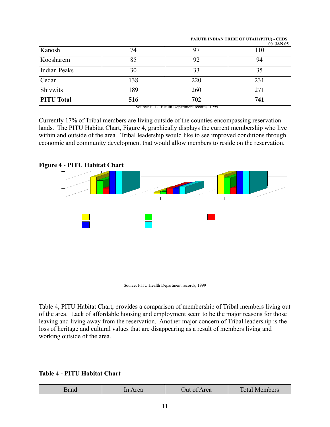| Kanosh            | 74                                               | 97                       | <u>UU UAIN UJ</u><br>110 |
|-------------------|--------------------------------------------------|--------------------------|--------------------------|
| Koosharem         | 85                                               | 92                       | 94                       |
| Indian Peaks      | 30                                               | 33                       |                          |
| Cedar             | 138                                              | 220                      | 231                      |
| Shivwits          | 189                                              | 260                      | 271                      |
| <b>PITU Total</b> | 516<br>$\overline{}$<br>$\overline{\phantom{a}}$ | 702<br>$\overline{1000}$ | 741                      |

Source: PITU Health Department records, 1999

Currently 17% of Tribal members are living outside of the counties encompassing reservation lands. The PITU Habitat Chart, Figure 4, graphically displays the current membership who live within and outside of the area. Tribal leadership would like to see improved conditions through economic and community development that would allow members to reside on the reservation.

#### **Figure 4** - **PITU Habitat Chart**



Source: PITU Health Department records, 1999

Table 4, PITU Habitat Chart, provides a comparison of membership of Tribal members living out of the area. Lack of affordable housing and employment seem to be the major reasons for those leaving and living away from the reservation. Another major concern of Tribal leadership is the loss of heritage and cultural values that are disappearing as a result of members living and working outside of the area.

#### **Table 4 - PITU Habitat Chart**

| rea | Out of Area | Total M <sub>b</sub><br><b>Members</b> |
|-----|-------------|----------------------------------------|
|     |             |                                        |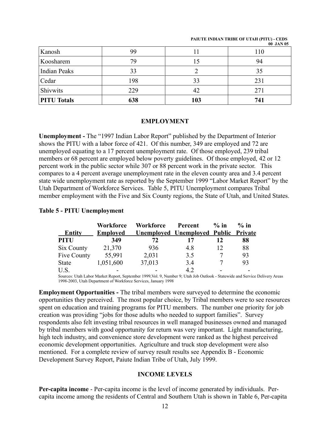| Kanosh              | 99  |     | UU JAIN UJ<br>110 |
|---------------------|-----|-----|-------------------|
| Koosharem           | 79  | 15  | 94                |
| <b>Indian Peaks</b> | 33  |     | 35                |
| Cedar               | 198 | 33  | 231               |
| Shivwits            | 229 | 42  | 271               |
| <b>PITU Totals</b>  | 638 | 103 | 741               |

#### **EMPLOYMENT**

**Unemployment -** The "1997 Indian Labor Report" published by the Department of Interior shows the PITU with a labor force of 421. Of this number, 349 are employed and 72 are unemployed equating to a 17 percent unemployment rate. Of those employed, 239 tribal members or 68 percent are employed below poverty guidelines. Of those employed, 42 or 12 percent work in the public sector while 307 or 88 percent work in the private sector. This compares to a 4 percent average unemployment rate in the eleven county area and 3.4 percent state wide unemployment rate as reported by the September 1999 "Labor Market Report" by the Utah Department of Workforce Services. Table 5, PITU Unemployment compares Tribal member employment with the Five and Six County regions, the State of Utah, and United States.

#### **Workforce Workforce Percent % in % in Entity Employed Unemployed Unemployed Public Private PITU 349 72 17 12 88** Six County 21,370 936 4.8 12 88 Five County 55,991 2,031 3.5 7 93 State 1,051,600 37,013 3.4 7 93 U.S. **-** - 4.2 - -

#### **Table 5 - PITU Unemployment**

Sources: Utah Labor Market Report, September 1999,Vol. 9, Number 9; Utah Job Outlook - Statewide and Service Delivery Areas 1998-2003, Utah Department of Workforce Services, January 1998

**Employment Opportunities -** The tribal members were surveyed to determine the economic opportunities they perceived. The most popular choice, by Tribal members were to see resources spent on education and training programs for PITU members. The number one priority for job creation was providing "jobs for those adults who needed to support families". Survey respondents also felt investing tribal resources in well managed businesses owned and managed by tribal members with good opportunity for return was very important. Light manufacturing, high tech industry, and convenience store development were ranked as the highest perceived economic development opportunities. Agriculture and truck stop development were also mentioned. For a complete review of survey result results see Appendix B - Economic Development Survey Report, Paiute Indian Tribe of Utah, July 1999.

#### **INCOME LEVELS**

**Per-capita income** - Per-capita income is the level of income generated by individuals. Percapita income among the residents of Central and Southern Utah is shown in Table 6, Per-capita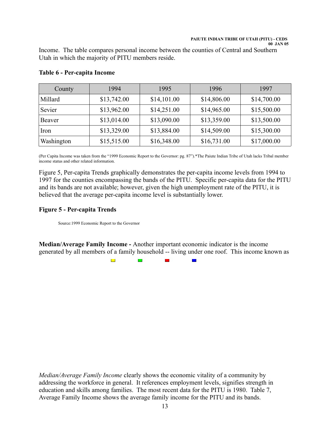Income. The table compares personal income between the counties of Central and Southern Utah in which the majority of PITU members reside.

| County     | 1994        | 1995        | 1996        | 1997        |
|------------|-------------|-------------|-------------|-------------|
| Millard    | \$13,742.00 | \$14,101.00 | \$14,806.00 | \$14,700.00 |
| Sevier     | \$13,962.00 | \$14,251.00 | \$14,965.00 | \$15,500.00 |
| Beaver     | \$13,014.00 | \$13,090.00 | \$13,359.00 | \$13,500.00 |
| Iron       | \$13,329.00 | \$13,884.00 | \$14,509.00 | \$15,300.00 |
| Washington | \$15,515.00 | \$16,348.00 | \$16,731.00 | \$17,000.00 |

#### **Table 6 - Per-capita Income**

(Per Capita Income was taken from the "1999 Economic Report to the Governor: pg. 87").\*The Paiute Indian Tribe of Utah lacks Tribal member income status and other related information.

Figure 5, Per-capita Trends graphically demonstrates the per-capita income levels from 1994 to 1997 for the counties encompassing the bands of the PITU. Specific per-capita data for the PITU and its bands are not available; however, given the high unemployment rate of the PITU, it is believed that the average per-capita income level is substantially lower.

#### **Figure 5 - Per-capita Trends**

Source:1999 Economic Report to the Governor

**Median/Average Family Income -** Another important economic indicator is the income generated by all members of a family household -- living under one roof. This income known as

> $\overline{\phantom{a}}$  $\blacksquare$  $\overline{\phantom{0}}$

*Median/Average Family Income* clearly shows the economic vitality of a community by addressing the workforce in general. It references employment levels, signifies strength in education and skills among families. The most recent data for the PITU is 1980. Table 7, Average Family Income shows the average family income for the PITU and its bands.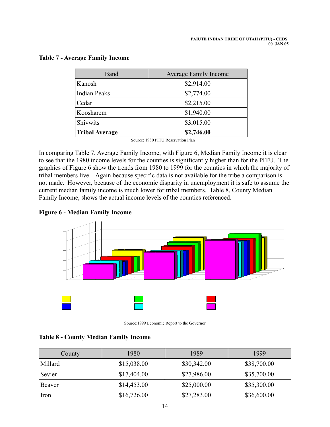| Band                  | <b>Average Family Income</b> |
|-----------------------|------------------------------|
| Kanosh                | \$2,914.00                   |
| <b>Indian Peaks</b>   | \$2,774.00                   |
| Cedar                 | \$2,215.00                   |
| Koosharem             | \$1,940.00                   |
| Shivwits              | \$3,015.00                   |
| <b>Tribal Average</b> | \$2,746.00                   |

#### **Table 7 - Average Family Income**

Source: 1980 PITU Reservation Plan

In comparing Table 7, Average Family Income, with Figure 6, Median Family Income it is clear to see that the 1980 income levels for the counties is significantly higher than for the PITU. The graphics of Figure 6 show the trends from 1980 to 1999 for the counties in which the majority of tribal members live. Again because specific data is not available for the tribe a comparison is not made. However, because of the economic disparity in unemployment it is safe to assume the current median family income is much lower for tribal members. Table 8, County Median Family Income, shows the actual income levels of the counties referenced.

#### **Figure 6 - Median Family Income**



Source:1999 Economic Report to the Governor

#### **Table 8 - County Median Family Income**

| County  | 1980        | 1989        | 1999        |
|---------|-------------|-------------|-------------|
| Millard | \$15,038.00 | \$30,342.00 | \$38,700.00 |
| Sevier  | \$17,404.00 | \$27,986.00 | \$35,700.00 |
| Beaver  | \$14,453.00 | \$25,000.00 | \$35,300.00 |
| Iron    | \$16,726.00 | \$27,283.00 | \$36,600.00 |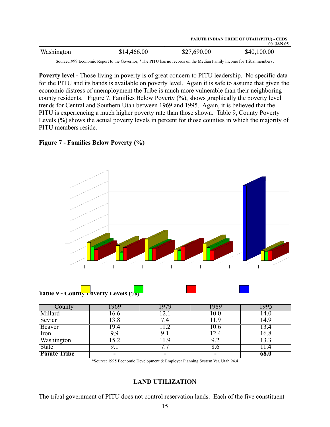| PAIUTE INDIAN TRIBE OF UTAH (PITU) - CEDS |  |                  |
|-------------------------------------------|--|------------------|
|                                           |  | <b>OO TANTOF</b> |

|            |             |         | UU JAN US   |
|------------|-------------|---------|-------------|
| Washington | \$14,466.00 | ,690.00 | \$40,100.00 |
|            |             |         |             |

Source:1999 Economic Report to the Governor; \*The PITU has no records on the Median Family income for Tribal members.

Poverty level - Those living in poverty is of great concern to PITU leadership. No specific data for the PITU and its bands is available on poverty level. Again it is safe to assume that given the economic distress of unemployment the Tribe is much more vulnerable than their neighboring county residents. Figure 7, Families Below Poverty (%), shows graphically the poverty level trends for Central and Southern Utah between 1969 and 1995. Again, it is believed that the PITU is experiencing a much higher poverty rate than those shown. Table 9, County Poverty Levels (%) shows the actual poverty levels in percent for those counties in which the majority of PITU members reside.

#### **Figure 7 - Families Below Poverty (%)**





| County              | 969  | 1979 | -989     | -995 |
|---------------------|------|------|----------|------|
| Millard             | .6.6 |      | LV.U     | .4.U |
| Sevier              | 3.8  |      |          | 4.9  |
| Beaver              | 19.4 |      | .U.O     |      |
| Iron                | y y  |      |          | .6.8 |
| Washington          |      | ч    | $9_{.4}$ |      |
| <b>State</b>        |      |      | 8.0      |      |
| <b>Paiute Tribe</b> | -    | -    | -        | 68.0 |

<sup>\*</sup>Source: 1995 Economic Development & Employer Planning System Ver. Utah 94.4

#### **LAND UTILIZATION**

The tribal government of PITU does not control reservation lands. Each of the five constituent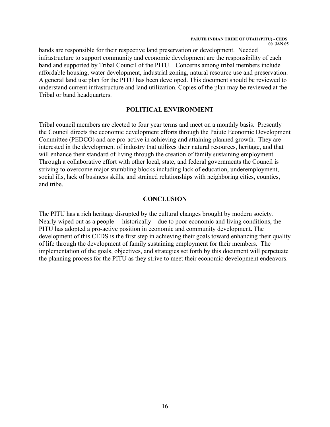bands are responsible for their respective land preservation or development. Needed infrastructure to support community and economic development are the responsibility of each band and supported by Tribal Council of the PITU. Concerns among tribal members include affordable housing, water development, industrial zoning, natural resource use and preservation. A general land use plan for the PITU has been developed. This document should be reviewed to understand current infrastructure and land utilization. Copies of the plan may be reviewed at the Tribal or band headquarters.

#### **POLITICAL ENVIRONMENT**

Tribal council members are elected to four year terms and meet on a monthly basis. Presently the Council directs the economic development efforts through the Paiute Economic Development Committee (PEDCO) and are pro-active in achieving and attaining planned growth. They are interested in the development of industry that utilizes their natural resources, heritage, and that will enhance their standard of living through the creation of family sustaining employment. Through a collaborative effort with other local, state, and federal governments the Council is striving to overcome major stumbling blocks including lack of education, underemployment, social ills, lack of business skills, and strained relationships with neighboring cities, counties, and tribe.

#### **CONCLUSION**

The PITU has a rich heritage disrupted by the cultural changes brought by modern society. Nearly wiped out as a people – historically – due to poor economic and living conditions, the PITU has adopted a pro-active position in economic and community development. The development of this CEDS is the first step in achieving their goals toward enhancing their quality of life through the development of family sustaining employment for their members. The implementation of the goals, objectives, and strategies set forth by this document will perpetuate the planning process for the PITU as they strive to meet their economic development endeavors.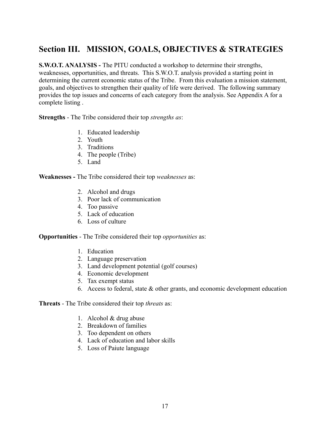## **Section III. MISSION, GOALS, OBJECTIVES & STRATEGIES**

**S.W.O.T. ANALYSIS - The PITU conducted a workshop to determine their strengths,** weaknesses, opportunities, and threats. This S.W.O.T. analysis provided a starting point in determining the current economic status of the Tribe. From this evaluation a mission statement, goals, and objectives to strengthen their quality of life were derived. The following summary provides the top issues and concerns of each category from the analysis. See Appendix A for a complete listing .

**Strengths** - The Tribe considered their top *strengths as*:

- 1. Educated leadership
- 2. Youth
- 3. Traditions
- 4. The people (Tribe)
- 5. Land

**Weaknesses -** The Tribe considered their top *weaknesses* as:

- 2. Alcohol and drugs
- 3. Poor lack of communication
- 4. Too passive
- 5. Lack of education
- 6. Loss of culture

**Opportunities** - The Tribe considered their top *opportunities* as:

- 1. Education
- 2. Language preservation
- 3. Land development potential (golf courses)
- 4. Economic development
- 5. Tax exempt status
- 6. Access to federal, state & other grants, and economic development education

#### **Threats** - The Tribe considered their top *threats* as:

- 1. Alcohol & drug abuse
- 2. Breakdown of families
- 3. Too dependent on others
- 4. Lack of education and labor skills
- 5. Loss of Paiute language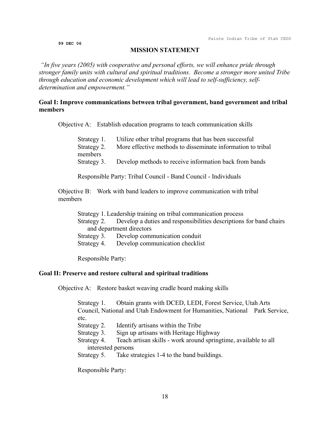**99 DEC 06**

#### **MISSION STATEMENT**

*"In five years (2005) with cooperative and personal efforts, we will enhance pride through stronger family units with cultural and spiritual traditions. Become a stronger more united Tribe through education and economic development which will lead to self-sufficiency, selfdetermination and empowerment."*

#### **Goal I: Improve communications between tribal government, band government and tribal members**

Objective A: Establish education programs to teach communication skills

| Strategy 1. | Utilize other tribal programs that has been successful             |
|-------------|--------------------------------------------------------------------|
| Strategy 2. | More effective methods to disseminate information to tribal        |
| members     |                                                                    |
|             | Strategy 3. Develop methods to receive information back from bands |
|             |                                                                    |

Responsible Party: Tribal Council - Band Council - Individuals

Objective B: Work with band leaders to improve communication with tribal members

Strategy 1. Leadership training on tribal communication process Strategy 2. Develop a duties and responsibilities descriptions for band chairs and department directors Strategy 3. Develop communication conduit Strategy 4. Develop communication checklist

Responsible Party:

#### **Goal II: Preserve and restore cultural and spiritual traditions**

Objective A: Restore basket weaving cradle board making skills

Strategy 1. Obtain grants with DCED, LEDI, Forest Service, Utah Arts Council, National and Utah Endowment for Humanities, National Park Service, etc.

Strategy 2. Identify artisans within the Tribe

Strategy 3. Sign up artisans with Heritage Highway

Strategy 4. Teach artisan skills - work around springtime, available to all interested persons

Strategy 5. Take strategies 1-4 to the band buildings.

Responsible Party: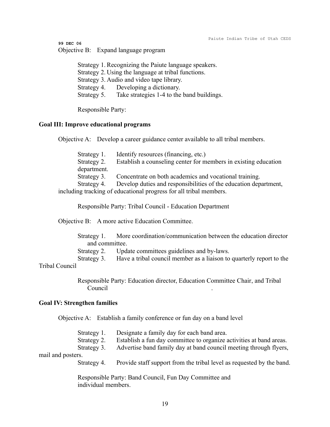**99 DEC 06**

Objective B: Expand language program

Strategy 1. Recognizing the Paiute language speakers. Strategy 2. Using the language at tribal functions. Strategy 3. Audio and video tape library. Strategy 4. Developing a dictionary. Strategy 5. Take strategies 1-4 to the band buildings.

Responsible Party:

#### **Goal III: Improve educational programs**

Objective A: Develop a career guidance center available to all tribal members.

| Strategy 1. | Identify resources (financing, etc.)                                         |
|-------------|------------------------------------------------------------------------------|
| Strategy 2. | Establish a counseling center for members in existing education              |
| department. |                                                                              |
|             | Strategy 3. Concentrate on both academics and vocational training.           |
|             | Strategy 4. Develop duties and responsibilities of the education department, |
|             | including tracking of educational progress for all tribal members.           |

Responsible Party: Tribal Council - Education Department

Objective B: A more active Education Committee.

Strategy 1. More coordination/communication between the education director and committee. Strategy 2. Update committees guidelines and by-laws.

Strategy 3. Have a tribal council member as a liaison to quarterly report to the Tribal Council

> Responsible Party: Education director, Education Committee Chair, and Tribal Council .

#### **Goal IV: Strengthen families**

Objective A: Establish a family conference or fun day on a band level

|                   | Strategy 1.<br>Strategy 2. | Designate a family day for each band area.<br>Establish a fun day committee to organize activities at band areas. |
|-------------------|----------------------------|-------------------------------------------------------------------------------------------------------------------|
|                   | Strategy 3.                | Advertise band family day at band council meeting through flyers,                                                 |
| mail and posters. |                            |                                                                                                                   |
|                   | Strategy 4.                | Provide staff support from the tribal level as requested by the band.                                             |

Responsible Party: Band Council, Fun Day Committee and individual members.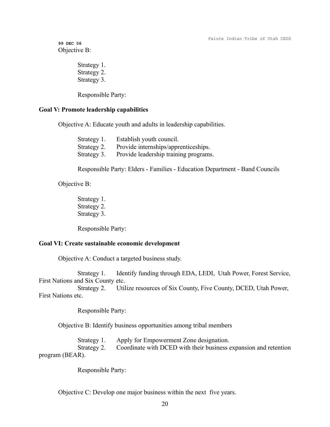**99 DEC 06** Objective B:

> Strategy 1. Strategy 2. Strategy 3.

Responsible Party:

#### **Goal V: Promote leadership capabilities**

Objective A: Educate youth and adults in leadership capabilities.

| Strategy 1. | Establish youth council.              |
|-------------|---------------------------------------|
| Strategy 2. | Provide internships/apprenticeships.  |
| Strategy 3. | Provide leadership training programs. |

Responsible Party: Elders - Families - Education Department - Band Councils

Objective B:

Strategy 1. Strategy 2. Strategy 3.

Responsible Party:

#### **Goal VI: Create sustainable economic development**

Objective A: Conduct a targeted business study.

Strategy 1. Identify funding through EDA, LEDI, Utah Power, Forest Service, First Nations and Six County etc.

Strategy 2. Utilize resources of Six County, Five County, DCED, Utah Power, First Nations etc.

Responsible Party:

Objective B: Identify business opportunities among tribal members

Strategy 1. Apply for Empowerment Zone designation. Strategy 2. Coordinate with DCED with their business expansion and retention

program (BEAR).

Responsible Party:

Objective C: Develop one major business within the next five years.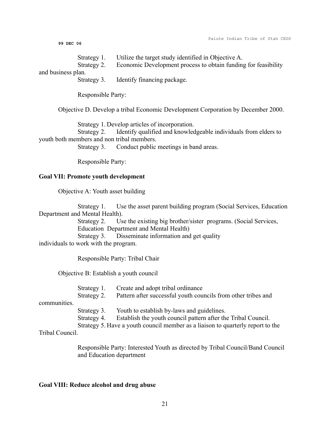Paiute Indian Tribe of Utah CEDS

**99 DEC 06**

Strategy 1. Utilize the target study identified in Objective A.

Strategy 2. Economic Development process to obtain funding for feasibility

and business plan.

Strategy 3. Identify financing package.

Responsible Party:

Objective D. Develop a tribal Economic Development Corporation by December 2000.

Strategy 1. Develop articles of incorporation.

Strategy 2. Identify qualified and knowledgeable individuals from elders to youth both members and non tribal members.

Strategy 3. Conduct public meetings in band areas.

Responsible Party:

#### **Goal VII: Promote youth development**

Objective A: Youth asset building

Strategy 1. Use the asset parent building program (Social Services, Education Department and Mental Health).

> Strategy 2. Use the existing big brother/sister programs. (Social Services, Education Department and Mental Health)

Strategy 3. Disseminate information and get quality

individuals to work with the program.

Responsible Party: Tribal Chair

Objective B: Establish a youth council

Strategy 1. Create and adopt tribal ordinance Strategy 2. Pattern after successful youth councils from other tribes and

communities.

Strategy 3. Youth to establish by-laws and guidelines.

Strategy 4. Establish the youth council pattern after the Tribal Council.

Strategy 5. Have a youth council member as a liaison to quarterly report to the

Tribal Council.

Responsible Party: Interested Youth as directed by Tribal Council/Band Council and Education department

#### **Goal VIII: Reduce alcohol and drug abuse**